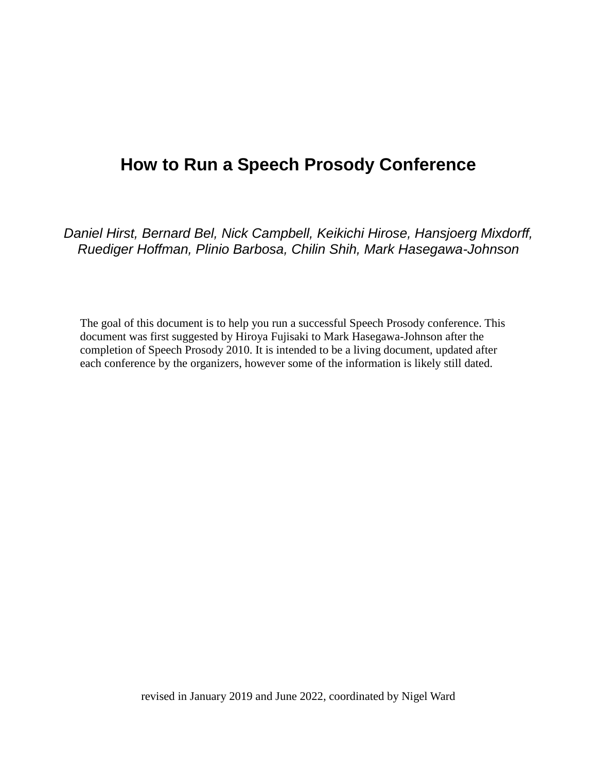# **How to Run a Speech Prosody Conference**

*Daniel Hirst, Bernard Bel, Nick Campbell, Keikichi Hirose, Hansjoerg Mixdorff, Ruediger Hoffman, Plinio Barbosa, Chilin Shih, Mark Hasegawa-Johnson* 

The goal of this document is to help you run a successful Speech Prosody conference. This document was first suggested by Hiroya Fujisaki to Mark Hasegawa-Johnson after the completion of Speech Prosody 2010. It is intended to be a living document, updated after each conference by the organizers, however some of the information is likely still dated.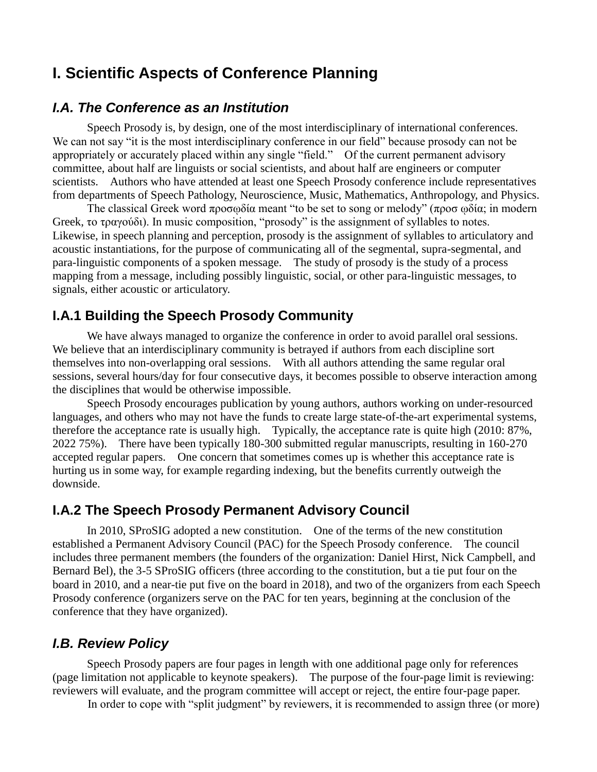## **I. Scientific Aspects of Conference Planning**

#### *I.A. The Conference as an Institution*

Speech Prosody is, by design, one of the most interdisciplinary of international conferences. We can not say "it is the most interdisciplinary conference in our field" because prosody can not be appropriately or accurately placed within any single "field." Of the current permanent advisory committee, about half are linguists or social scientists, and about half are engineers or computer scientists. Authors who have attended at least one Speech Prosody conference include representatives from departments of Speech Pathology, Neuroscience, Music, Mathematics, Anthropology, and Physics.

The classical Greek word προσωδία meant "to be set to song or melody" (προσ ωδία; in modern Greek, το τραγούδι). In music composition, "prosody" is the assignment of syllables to notes. Likewise, in speech planning and perception, prosody is the assignment of syllables to articulatory and acoustic instantiations, for the purpose of communicating all of the segmental, supra-segmental, and para-linguistic components of a spoken message. The study of prosody is the study of a process mapping from a message, including possibly linguistic, social, or other para-linguistic messages, to signals, either acoustic or articulatory.

#### **I.A.1 Building the Speech Prosody Community**

We have always managed to organize the conference in order to avoid parallel oral sessions. We believe that an interdisciplinary community is betrayed if authors from each discipline sort themselves into non-overlapping oral sessions. With all authors attending the same regular oral sessions, several hours/day for four consecutive days, it becomes possible to observe interaction among the disciplines that would be otherwise impossible.

Speech Prosody encourages publication by young authors, authors working on under-resourced languages, and others who may not have the funds to create large state-of-the-art experimental systems, therefore the acceptance rate is usually high. Typically, the acceptance rate is quite high (2010: 87%, 2022 75%). There have been typically 180-300 submitted regular manuscripts, resulting in 160-270 accepted regular papers. One concern that sometimes comes up is whether this acceptance rate is hurting us in some way, for example regarding indexing, but the benefits currently outweigh the downside.

#### **I.A.2 The Speech Prosody Permanent Advisory Council**

In 2010, SProSIG adopted a new constitution. One of the terms of the new constitution established a Permanent Advisory Council (PAC) for the Speech Prosody conference. The council includes three permanent members (the founders of the organization: Daniel Hirst, Nick Campbell, and Bernard Bel), the 3-5 SProSIG officers (three according to the constitution, but a tie put four on the board in 2010, and a near-tie put five on the board in 2018), and two of the organizers from each Speech Prosody conference (organizers serve on the PAC for ten years, beginning at the conclusion of the conference that they have organized).

#### *I.B. Review Policy*

Speech Prosody papers are four pages in length with one additional page only for references (page limitation not applicable to keynote speakers). The purpose of the four-page limit is reviewing: reviewers will evaluate, and the program committee will accept or reject, the entire four-page paper.

In order to cope with "split judgment" by reviewers, it is recommended to assign three (or more)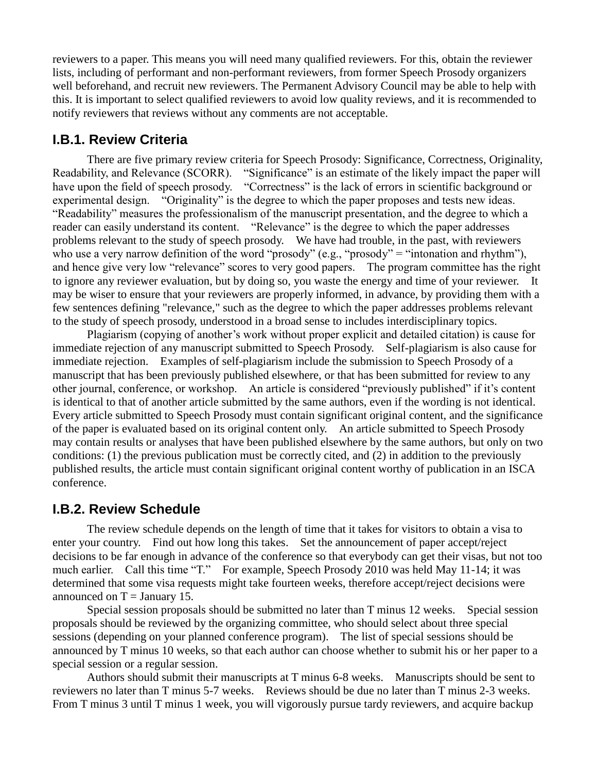reviewers to a paper. This means you will need many qualified reviewers. For this, obtain the reviewer lists, including of performant and non-performant reviewers, from former Speech Prosody organizers well beforehand, and recruit new reviewers. The Permanent Advisory Council may be able to help with this. It is important to select qualified reviewers to avoid low quality reviews, and it is recommended to notify reviewers that reviews without any comments are not acceptable.

#### **I.B.1. Review Criteria**

There are five primary review criteria for Speech Prosody: Significance, Correctness, Originality, Readability, and Relevance (SCORR). "Significance" is an estimate of the likely impact the paper will have upon the field of speech prosody. "Correctness" is the lack of errors in scientific background or experimental design. "Originality" is the degree to which the paper proposes and tests new ideas. "Readability" measures the professionalism of the manuscript presentation, and the degree to which a reader can easily understand its content. "Relevance" is the degree to which the paper addresses problems relevant to the study of speech prosody. We have had trouble, in the past, with reviewers who use a very narrow definition of the word "prosody" (e.g., "prosody" = "intonation and rhythm"), and hence give very low "relevance" scores to very good papers. The program committee has the right to ignore any reviewer evaluation, but by doing so, you waste the energy and time of your reviewer. It may be wiser to ensure that your reviewers are properly informed, in advance, by providing them with a few sentences defining "relevance," such as the degree to which the paper addresses problems relevant to the study of speech prosody, understood in a broad sense to includes interdisciplinary topics.

Plagiarism (copying of another's work without proper explicit and detailed citation) is cause for immediate rejection of any manuscript submitted to Speech Prosody. Self-plagiarism is also cause for immediate rejection. Examples of self-plagiarism include the submission to Speech Prosody of a manuscript that has been previously published elsewhere, or that has been submitted for review to any other journal, conference, or workshop. An article is considered "previously published" if it's content is identical to that of another article submitted by the same authors, even if the wording is not identical. Every article submitted to Speech Prosody must contain significant original content, and the significance of the paper is evaluated based on its original content only. An article submitted to Speech Prosody may contain results or analyses that have been published elsewhere by the same authors, but only on two conditions: (1) the previous publication must be correctly cited, and (2) in addition to the previously published results, the article must contain significant original content worthy of publication in an ISCA conference.

#### **I.B.2. Review Schedule**

The review schedule depends on the length of time that it takes for visitors to obtain a visa to enter your country. Find out how long this takes. Set the announcement of paper accept/reject decisions to be far enough in advance of the conference so that everybody can get their visas, but not too much earlier. Call this time "T." For example, Speech Prosody 2010 was held May 11-14; it was determined that some visa requests might take fourteen weeks, therefore accept/reject decisions were announced on  $T =$  January 15.

Special session proposals should be submitted no later than T minus 12 weeks. Special session proposals should be reviewed by the organizing committee, who should select about three special sessions (depending on your planned conference program). The list of special sessions should be announced by T minus 10 weeks, so that each author can choose whether to submit his or her paper to a special session or a regular session.

Authors should submit their manuscripts at T minus 6-8 weeks. Manuscripts should be sent to reviewers no later than T minus 5-7 weeks. Reviews should be due no later than T minus 2-3 weeks. From T minus 3 until T minus 1 week, you will vigorously pursue tardy reviewers, and acquire backup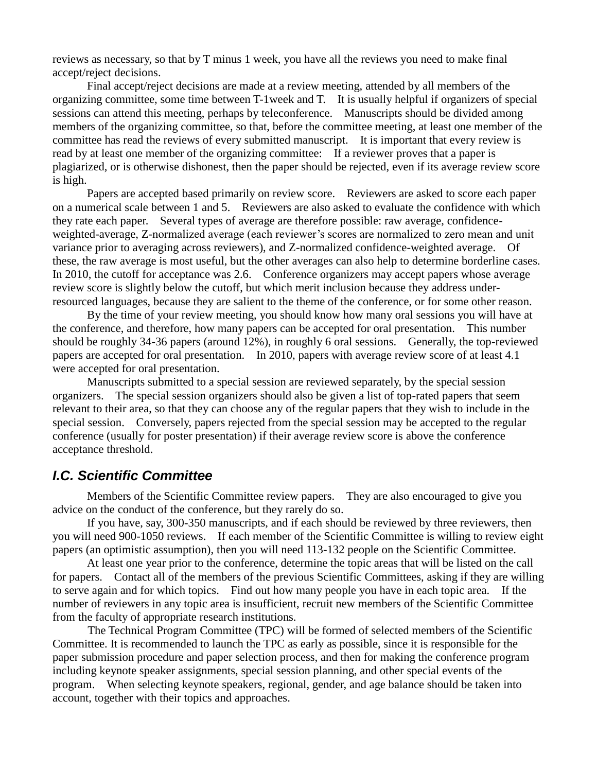reviews as necessary, so that by T minus 1 week, you have all the reviews you need to make final accept/reject decisions.

Final accept/reject decisions are made at a review meeting, attended by all members of the organizing committee, some time between T-1week and T. It is usually helpful if organizers of special sessions can attend this meeting, perhaps by teleconference. Manuscripts should be divided among members of the organizing committee, so that, before the committee meeting, at least one member of the committee has read the reviews of every submitted manuscript. It is important that every review is read by at least one member of the organizing committee: If a reviewer proves that a paper is plagiarized, or is otherwise dishonest, then the paper should be rejected, even if its average review score is high.

Papers are accepted based primarily on review score. Reviewers are asked to score each paper on a numerical scale between 1 and 5. Reviewers are also asked to evaluate the confidence with which they rate each paper. Several types of average are therefore possible: raw average, confidenceweighted-average, Z-normalized average (each reviewer's scores are normalized to zero mean and unit variance prior to averaging across reviewers), and Z-normalized confidence-weighted average. Of these, the raw average is most useful, but the other averages can also help to determine borderline cases. In 2010, the cutoff for acceptance was 2.6. Conference organizers may accept papers whose average review score is slightly below the cutoff, but which merit inclusion because they address underresourced languages, because they are salient to the theme of the conference, or for some other reason.

By the time of your review meeting, you should know how many oral sessions you will have at the conference, and therefore, how many papers can be accepted for oral presentation. This number should be roughly 34-36 papers (around 12%), in roughly 6 oral sessions. Generally, the top-reviewed papers are accepted for oral presentation. In 2010, papers with average review score of at least 4.1 were accepted for oral presentation.

Manuscripts submitted to a special session are reviewed separately, by the special session organizers. The special session organizers should also be given a list of top-rated papers that seem relevant to their area, so that they can choose any of the regular papers that they wish to include in the special session. Conversely, papers rejected from the special session may be accepted to the regular conference (usually for poster presentation) if their average review score is above the conference acceptance threshold.

#### *I.C. Scientific Committee*

Members of the Scientific Committee review papers. They are also encouraged to give you advice on the conduct of the conference, but they rarely do so.

If you have, say, 300-350 manuscripts, and if each should be reviewed by three reviewers, then you will need 900-1050 reviews. If each member of the Scientific Committee is willing to review eight papers (an optimistic assumption), then you will need 113-132 people on the Scientific Committee.

At least one year prior to the conference, determine the topic areas that will be listed on the call for papers. Contact all of the members of the previous Scientific Committees, asking if they are willing to serve again and for which topics. Find out how many people you have in each topic area. If the number of reviewers in any topic area is insufficient, recruit new members of the Scientific Committee from the faculty of appropriate research institutions.

The Technical Program Committee (TPC) will be formed of selected members of the Scientific Committee. It is recommended to launch the TPC as early as possible, since it is responsible for the paper submission procedure and paper selection process, and then for making the conference program including keynote speaker assignments, special session planning, and other special events of the program. When selecting keynote speakers, regional, gender, and age balance should be taken into account, together with their topics and approaches.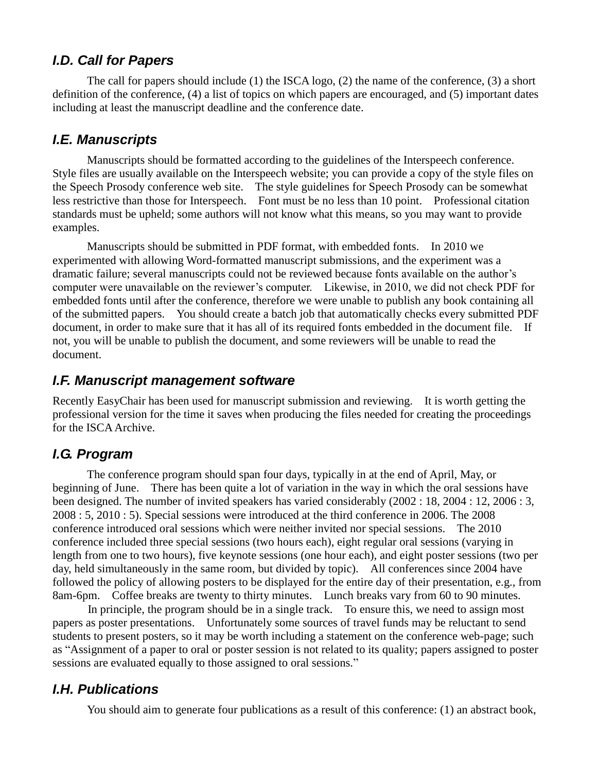## *I.D. Call for Papers*

The call for papers should include (1) the ISCA logo, (2) the name of the conference, (3) a short definition of the conference, (4) a list of topics on which papers are encouraged, and (5) important dates including at least the manuscript deadline and the conference date.

### *I.E. Manuscripts*

Manuscripts should be formatted according to the guidelines of the Interspeech conference. Style files are usually available on the Interspeech website; you can provide a copy of the style files on the Speech Prosody conference web site. The style guidelines for Speech Prosody can be somewhat less restrictive than those for Interspeech. Font must be no less than 10 point. Professional citation standards must be upheld; some authors will not know what this means, so you may want to provide examples.

Manuscripts should be submitted in PDF format, with embedded fonts. In 2010 we experimented with allowing Word-formatted manuscript submissions, and the experiment was a dramatic failure; several manuscripts could not be reviewed because fonts available on the author's computer were unavailable on the reviewer's computer. Likewise, in 2010, we did not check PDF for embedded fonts until after the conference, therefore we were unable to publish any book containing all of the submitted papers. You should create a batch job that automatically checks every submitted PDF document, in order to make sure that it has all of its required fonts embedded in the document file. If not, you will be unable to publish the document, and some reviewers will be unable to read the document.

### *I.F. Manuscript management software*

Recently EasyChair has been used for manuscript submission and reviewing. It is worth getting the professional version for the time it saves when producing the files needed for creating the proceedings for the ISCA Archive.

## *I.G. Program*

The conference program should span four days, typically in at the end of April, May, or beginning of June. There has been quite a lot of variation in the way in which the oral sessions have been designed. The number of invited speakers has varied considerably (2002 : 18, 2004 : 12, 2006 : 3, 2008 : 5, 2010 : 5). Special sessions were introduced at the third conference in 2006. The 2008 conference introduced oral sessions which were neither invited nor special sessions. The 2010 conference included three special sessions (two hours each), eight regular oral sessions (varying in length from one to two hours), five keynote sessions (one hour each), and eight poster sessions (two per day, held simultaneously in the same room, but divided by topic). All conferences since 2004 have followed the policy of allowing posters to be displayed for the entire day of their presentation, e.g., from 8am-6pm. Coffee breaks are twenty to thirty minutes. Lunch breaks vary from 60 to 90 minutes.

 In principle, the program should be in a single track. To ensure this, we need to assign most papers as poster presentations. Unfortunately some sources of travel funds may be reluctant to send students to present posters, so it may be worth including a statement on the conference web-page; such as "Assignment of a paper to oral or poster session is not related to its quality; papers assigned to poster sessions are evaluated equally to those assigned to oral sessions."

### *I.H. Publications*

You should aim to generate four publications as a result of this conference: (1) an abstract book,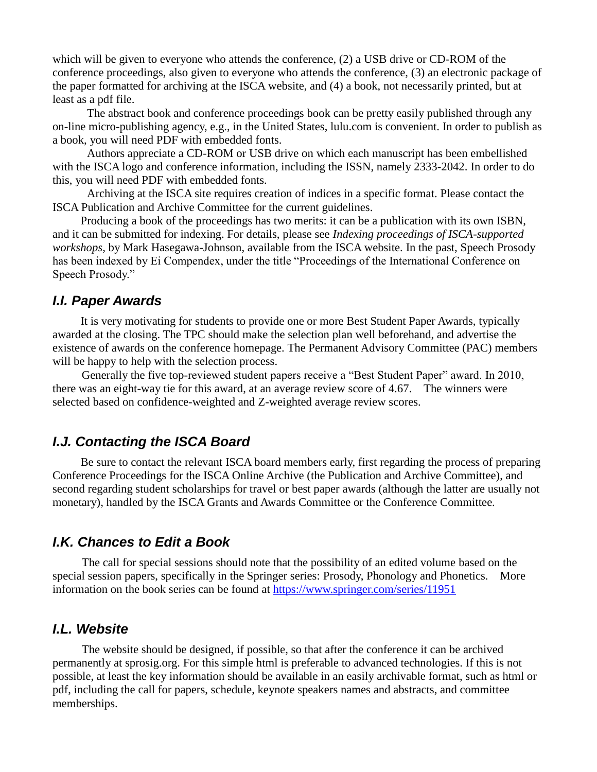which will be given to everyone who attends the conference, (2) a USB drive or CD-ROM of the conference proceedings, also given to everyone who attends the conference, (3) an electronic package of the paper formatted for archiving at the ISCA website, and (4) a book, not necessarily printed, but at least as a pdf file.

The abstract book and conference proceedings book can be pretty easily published through any on-line micro-publishing agency, e.g., in the United States, lulu.com is convenient. In order to publish as a book, you will need PDF with embedded fonts.

Authors appreciate a CD-ROM or USB drive on which each manuscript has been embellished with the ISCA logo and conference information, including the ISSN, namely 2333-2042. In order to do this, you will need PDF with embedded fonts.

Archiving at the ISCA site requires creation of indices in a specific format. Please contact the ISCA Publication and Archive Committee for the current guidelines.

Producing a book of the proceedings has two merits: it can be a publication with its own ISBN, and it can be submitted for indexing. For details, please see *Indexing proceedings of ISCA-supported workshops*, by Mark Hasegawa-Johnson, available from the ISCA website. In the past, Speech Prosody has been indexed by Ei Compendex, under the title "Proceedings of the International Conference on Speech Prosody."

#### *I.I. Paper Awards*

It is very motivating for students to provide one or more Best Student Paper Awards, typically awarded at the closing. The TPC should make the selection plan well beforehand, and advertise the existence of awards on the conference homepage. The Permanent Advisory Committee (PAC) members will be happy to help with the selection process.

Generally the five top-reviewed student papers receive a "Best Student Paper" award. In 2010, there was an eight-way tie for this award, at an average review score of 4.67. The winners were selected based on confidence-weighted and Z-weighted average review scores.

## *I.J. Contacting the ISCA Board*

Be sure to contact the relevant ISCA board members early, first regarding the process of preparing Conference Proceedings for the ISCA Online Archive (the Publication and Archive Committee), and second regarding student scholarships for travel or best paper awards (although the latter are usually not monetary), handled by the ISCA Grants and Awards Committee or the Conference Committee.

#### *I.K. Chances to Edit a Book*

The call for special sessions should note that the possibility of an edited volume based on the special session papers, specifically in the Springer series: Prosody, Phonology and Phonetics. More information on the book series can be found at<https://www.springer.com/series/11951>

#### *I.L. Website*

The website should be designed, if possible, so that after the conference it can be archived permanently at sprosig.org. For this simple html is preferable to advanced technologies. If this is not possible, at least the key information should be available in an easily archivable format, such as html or pdf, including the call for papers, schedule, keynote speakers names and abstracts, and committee memberships.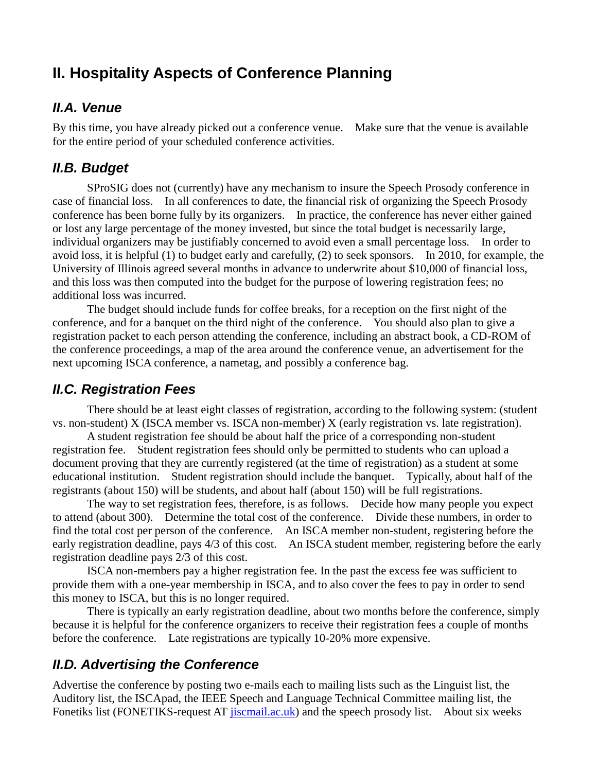# **II. Hospitality Aspects of Conference Planning**

#### *II.A. Venue*

By this time, you have already picked out a conference venue. Make sure that the venue is available for the entire period of your scheduled conference activities.

### *II.B. Budget*

SProSIG does not (currently) have any mechanism to insure the Speech Prosody conference in case of financial loss. In all conferences to date, the financial risk of organizing the Speech Prosody conference has been borne fully by its organizers. In practice, the conference has never either gained or lost any large percentage of the money invested, but since the total budget is necessarily large, individual organizers may be justifiably concerned to avoid even a small percentage loss. In order to avoid loss, it is helpful (1) to budget early and carefully, (2) to seek sponsors. In 2010, for example, the University of Illinois agreed several months in advance to underwrite about \$10,000 of financial loss, and this loss was then computed into the budget for the purpose of lowering registration fees; no additional loss was incurred.

The budget should include funds for coffee breaks, for a reception on the first night of the conference, and for a banquet on the third night of the conference. You should also plan to give a registration packet to each person attending the conference, including an abstract book, a CD-ROM of the conference proceedings, a map of the area around the conference venue, an advertisement for the next upcoming ISCA conference, a nametag, and possibly a conference bag.

### *II.C. Registration Fees*

There should be at least eight classes of registration, according to the following system: (student vs. non-student) X (ISCA member vs. ISCA non-member) X (early registration vs. late registration).

A student registration fee should be about half the price of a corresponding non-student registration fee. Student registration fees should only be permitted to students who can upload a document proving that they are currently registered (at the time of registration) as a student at some educational institution. Student registration should include the banquet. Typically, about half of the registrants (about 150) will be students, and about half (about 150) will be full registrations.

The way to set registration fees, therefore, is as follows. Decide how many people you expect to attend (about 300). Determine the total cost of the conference. Divide these numbers, in order to find the total cost per person of the conference. An ISCA member non-student, registering before the early registration deadline, pays 4/3 of this cost. An ISCA student member, registering before the early registration deadline pays 2/3 of this cost.

ISCA non-members pay a higher registration fee. In the past the excess fee was sufficient to provide them with a one-year membership in ISCA, and to also cover the fees to pay in order to send this money to ISCA, but this is no longer required.

There is typically an early registration deadline, about two months before the conference, simply because it is helpful for the conference organizers to receive their registration fees a couple of months before the conference. Late registrations are typically 10-20% more expensive.

### *II.D. Advertising the Conference*

Advertise the conference by posting two e-mails each to mailing lists such as the Linguist list, the Auditory list, the ISCApad, the IEEE Speech and Language Technical Committee mailing list, the Fonetiks list (FONETIKS-request AT *jiscmail.ac.uk*) and the speech prosody list. About six weeks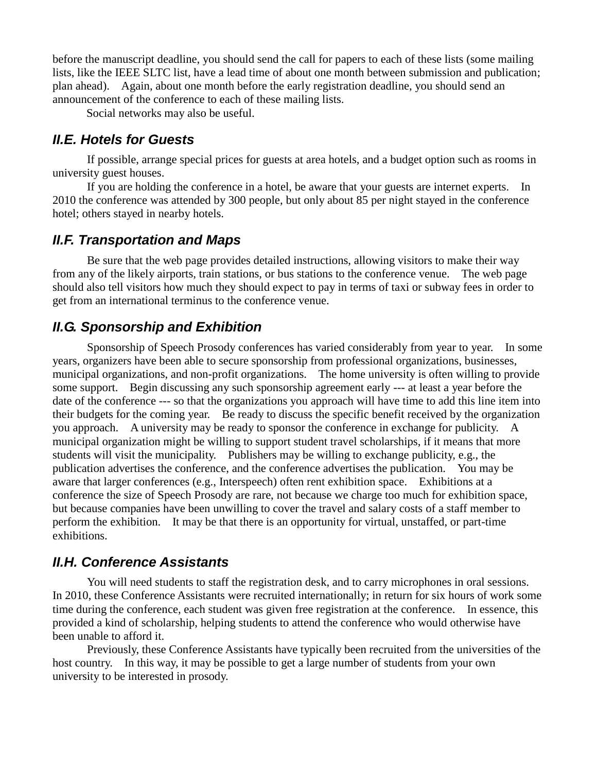before the manuscript deadline, you should send the call for papers to each of these lists (some mailing lists, like the IEEE SLTC list, have a lead time of about one month between submission and publication; plan ahead). Again, about one month before the early registration deadline, you should send an announcement of the conference to each of these mailing lists.

Social networks may also be useful.

#### *II.E. Hotels for Guests*

If possible, arrange special prices for guests at area hotels, and a budget option such as rooms in university guest houses.

If you are holding the conference in a hotel, be aware that your guests are internet experts. In 2010 the conference was attended by 300 people, but only about 85 per night stayed in the conference hotel; others stayed in nearby hotels.

### *II.F. Transportation and Maps*

Be sure that the web page provides detailed instructions, allowing visitors to make their way from any of the likely airports, train stations, or bus stations to the conference venue. The web page should also tell visitors how much they should expect to pay in terms of taxi or subway fees in order to get from an international terminus to the conference venue.

### *II.G. Sponsorship and Exhibition*

Sponsorship of Speech Prosody conferences has varied considerably from year to year. In some years, organizers have been able to secure sponsorship from professional organizations, businesses, municipal organizations, and non-profit organizations. The home university is often willing to provide some support. Begin discussing any such sponsorship agreement early --- at least a year before the date of the conference --- so that the organizations you approach will have time to add this line item into their budgets for the coming year. Be ready to discuss the specific benefit received by the organization you approach. A university may be ready to sponsor the conference in exchange for publicity. A municipal organization might be willing to support student travel scholarships, if it means that more students will visit the municipality. Publishers may be willing to exchange publicity, e.g., the publication advertises the conference, and the conference advertises the publication. You may be aware that larger conferences (e.g., Interspeech) often rent exhibition space. Exhibitions at a conference the size of Speech Prosody are rare, not because we charge too much for exhibition space, but because companies have been unwilling to cover the travel and salary costs of a staff member to perform the exhibition. It may be that there is an opportunity for virtual, unstaffed, or part-time exhibitions.

### *II.H. Conference Assistants*

You will need students to staff the registration desk, and to carry microphones in oral sessions. In 2010, these Conference Assistants were recruited internationally; in return for six hours of work some time during the conference, each student was given free registration at the conference. In essence, this provided a kind of scholarship, helping students to attend the conference who would otherwise have been unable to afford it.

Previously, these Conference Assistants have typically been recruited from the universities of the host country. In this way, it may be possible to get a large number of students from your own university to be interested in prosody.